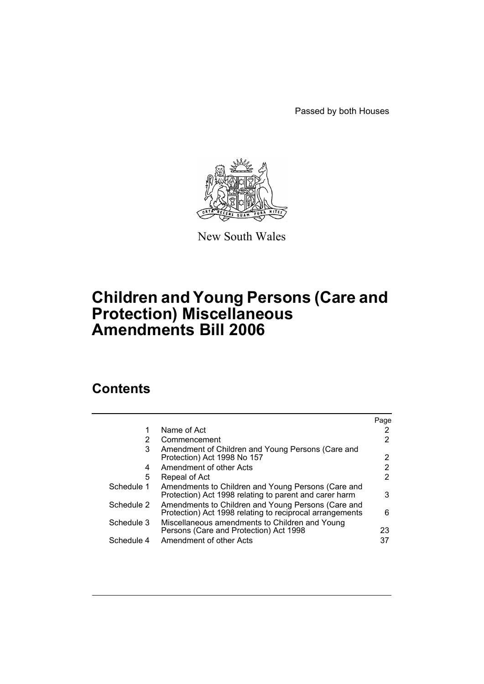Passed by both Houses



New South Wales

# **Children and Young Persons (Care and Protection) Miscellaneous Amendments Bill 2006**

# **Contents**

|            |                                                                                                                | Page |
|------------|----------------------------------------------------------------------------------------------------------------|------|
| 1          | Name of Act                                                                                                    |      |
| 2          | Commencement                                                                                                   |      |
| 3          | Amendment of Children and Young Persons (Care and<br>Protection) Act 1998 No 157                               | 2    |
| 4          | Amendment of other Acts                                                                                        |      |
| 5          | Repeal of Act                                                                                                  | 2    |
| Schedule 1 | Amendments to Children and Young Persons (Care and<br>Protection) Act 1998 relating to parent and carer harm   | 3    |
| Schedule 2 | Amendments to Children and Young Persons (Care and<br>Protection) Act 1998 relating to reciprocal arrangements | 6    |
| Schedule 3 | Miscellaneous amendments to Children and Young<br>Persons (Care and Protection) Act 1998                       | 23   |
| Schedule 4 | Amendment of other Acts                                                                                        | 37   |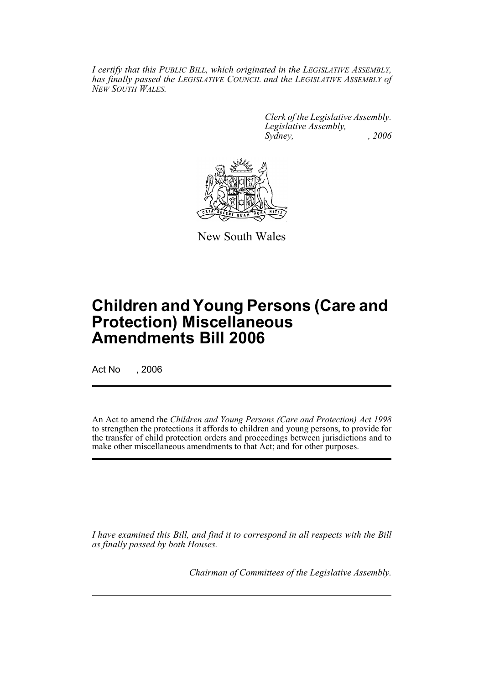*I certify that this PUBLIC BILL, which originated in the LEGISLATIVE ASSEMBLY, has finally passed the LEGISLATIVE COUNCIL and the LEGISLATIVE ASSEMBLY of NEW SOUTH WALES.*

> *Clerk of the Legislative Assembly. Legislative Assembly, Sydney, , 2006*



New South Wales

# **Children and Young Persons (Care and Protection) Miscellaneous Amendments Bill 2006**

Act No , 2006

An Act to amend the *Children and Young Persons (Care and Protection) Act 1998* to strengthen the protections it affords to children and young persons, to provide for the transfer of child protection orders and proceedings between jurisdictions and to make other miscellaneous amendments to that Act; and for other purposes.

*I have examined this Bill, and find it to correspond in all respects with the Bill as finally passed by both Houses.*

*Chairman of Committees of the Legislative Assembly.*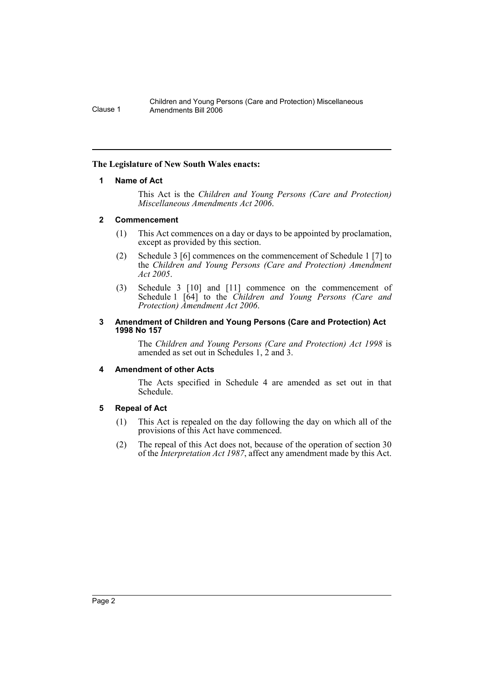#### **The Legislature of New South Wales enacts:**

#### **1 Name of Act**

This Act is the *Children and Young Persons (Care and Protection) Miscellaneous Amendments Act 2006*.

#### **2 Commencement**

- (1) This Act commences on a day or days to be appointed by proclamation, except as provided by this section.
- (2) Schedule 3 [6] commences on the commencement of Schedule 1 [7] to the *Children and Young Persons (Care and Protection) Amendment Act 2005*.
- (3) Schedule 3 [10] and [11] commence on the commencement of Schedule 1 [64] to the *Children and Young Persons (Care and Protection) Amendment Act 2006*.

#### **3 Amendment of Children and Young Persons (Care and Protection) Act 1998 No 157**

The *Children and Young Persons (Care and Protection) Act 1998* is amended as set out in Schedules 1, 2 and 3.

#### **4 Amendment of other Acts**

The Acts specified in Schedule 4 are amended as set out in that Schedule.

# **5 Repeal of Act**

- (1) This Act is repealed on the day following the day on which all of the provisions of this Act have commenced.
- (2) The repeal of this Act does not, because of the operation of section 30 of the *Interpretation Act 1987*, affect any amendment made by this Act.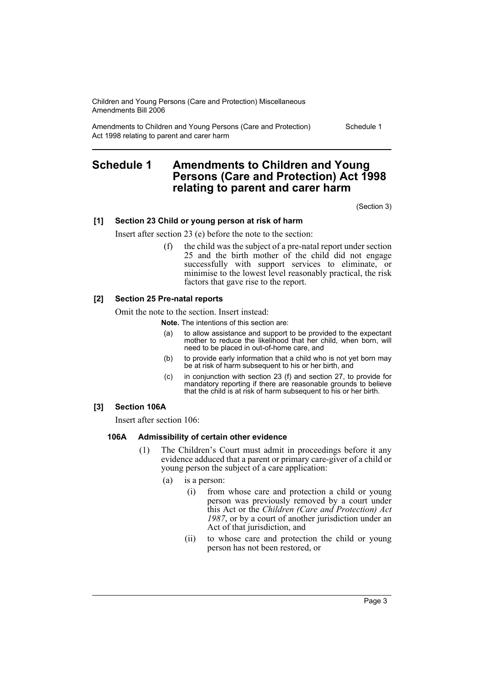Amendments to Children and Young Persons (Care and Protection) Act 1998 relating to parent and carer harm

Schedule 1

# **Schedule 1 Amendments to Children and Young Persons (Care and Protection) Act 1998 relating to parent and carer harm**

(Section 3)

#### **[1] Section 23 Child or young person at risk of harm**

Insert after section 23 (e) before the note to the section:

(f) the child was the subject of a pre-natal report under section 25 and the birth mother of the child did not engage successfully with support services to eliminate, or minimise to the lowest level reasonably practical, the risk factors that gave rise to the report.

### **[2] Section 25 Pre-natal reports**

Omit the note to the section. Insert instead:

**Note.** The intentions of this section are:

- (a) to allow assistance and support to be provided to the expectant mother to reduce the likelihood that her child, when born, will need to be placed in out-of-home care, and
- (b) to provide early information that a child who is not yet born may be at risk of harm subsequent to his or her birth, and
- (c) in conjunction with section 23 (f) and section 27, to provide for mandatory reporting if there are reasonable grounds to believe that the child is at risk of harm subsequent to his or her birth.

### **[3] Section 106A**

Insert after section 106:

#### **106A Admissibility of certain other evidence**

- (1) The Children's Court must admit in proceedings before it any evidence adduced that a parent or primary care-giver of a child or young person the subject of a care application:
	- (a) is a person:
		- (i) from whose care and protection a child or young person was previously removed by a court under this Act or the *Children (Care and Protection) Act 1987*, or by a court of another jurisdiction under an Act of that jurisdiction, and
		- (ii) to whose care and protection the child or young person has not been restored, or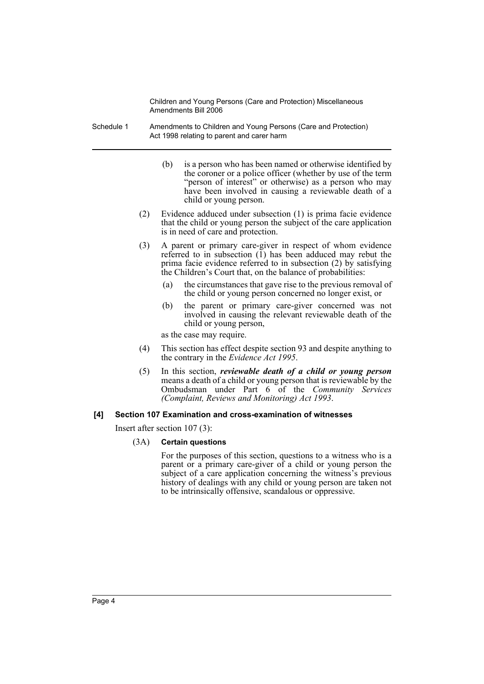- Schedule 1 Amendments to Children and Young Persons (Care and Protection) Act 1998 relating to parent and carer harm
	- (b) is a person who has been named or otherwise identified by the coroner or a police officer (whether by use of the term "person of interest" or otherwise) as a person who may have been involved in causing a reviewable death of a child or young person.
	- (2) Evidence adduced under subsection (1) is prima facie evidence that the child or young person the subject of the care application is in need of care and protection.
	- (3) A parent or primary care-giver in respect of whom evidence referred to in subsection  $\overline{(1)}$  has been adduced may rebut the prima facie evidence referred to in subsection (2) by satisfying the Children's Court that, on the balance of probabilities:
		- (a) the circumstances that gave rise to the previous removal of the child or young person concerned no longer exist, or
		- (b) the parent or primary care-giver concerned was not involved in causing the relevant reviewable death of the child or young person,

as the case may require.

- (4) This section has effect despite section 93 and despite anything to the contrary in the *Evidence Act 1995*.
- (5) In this section, *reviewable death of a child or young person* means a death of a child or young person that is reviewable by the Ombudsman under Part 6 of the *Community Services (Complaint, Reviews and Monitoring) Act 1993*.

# **[4] Section 107 Examination and cross-examination of witnesses**

Insert after section 107 (3):

# (3A) **Certain questions**

For the purposes of this section, questions to a witness who is a parent or a primary care-giver of a child or young person the subject of a care application concerning the witness's previous history of dealings with any child or young person are taken not to be intrinsically offensive, scandalous or oppressive.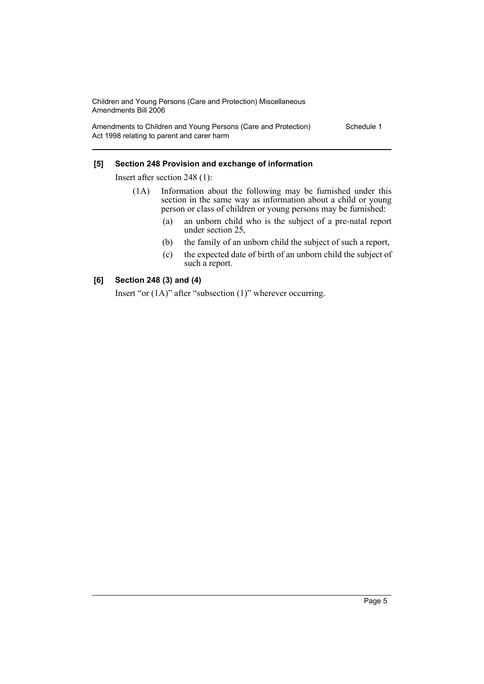Amendments to Children and Young Persons (Care and Protection) Act 1998 relating to parent and carer harm

Schedule 1

### **[5] Section 248 Provision and exchange of information**

Insert after section 248 (1):

- (1A) Information about the following may be furnished under this section in the same way as information about a child or young person or class of children or young persons may be furnished:
	- (a) an unborn child who is the subject of a pre-natal report under section 25,
	- (b) the family of an unborn child the subject of such a report,
	- (c) the expected date of birth of an unborn child the subject of such a report.

### **[6] Section 248 (3) and (4)**

Insert "or (1A)" after "subsection (1)" wherever occurring.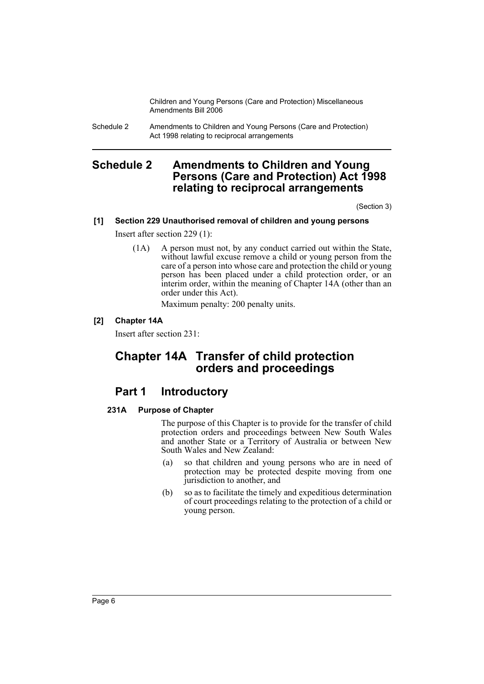Schedule 2 Amendments to Children and Young Persons (Care and Protection) Act 1998 relating to reciprocal arrangements

# **Schedule 2 Amendments to Children and Young Persons (Care and Protection) Act 1998 relating to reciprocal arrangements**

(Section 3)

# **[1] Section 229 Unauthorised removal of children and young persons**

Insert after section 229 (1):

(1A) A person must not, by any conduct carried out within the State, without lawful excuse remove a child or young person from the care of a person into whose care and protection the child or young person has been placed under a child protection order, or an interim order, within the meaning of Chapter 14A (other than an order under this Act).

Maximum penalty: 200 penalty units.

# **[2] Chapter 14A**

Insert after section 231:

# **Chapter 14A Transfer of child protection orders and proceedings**

# **Part 1 Introductory**

# **231A Purpose of Chapter**

The purpose of this Chapter is to provide for the transfer of child protection orders and proceedings between New South Wales and another State or a Territory of Australia or between New South Wales and New Zealand:

- (a) so that children and young persons who are in need of protection may be protected despite moving from one jurisdiction to another, and
- (b) so as to facilitate the timely and expeditious determination of court proceedings relating to the protection of a child or young person.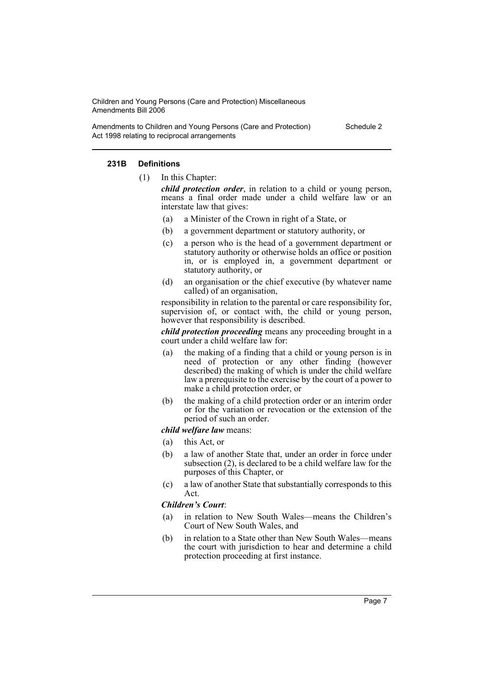Amendments to Children and Young Persons (Care and Protection) Act 1998 relating to reciprocal arrangements

Schedule 2

#### **231B Definitions**

(1) In this Chapter:

*child protection order*, in relation to a child or young person, means a final order made under a child welfare law or an interstate law that gives:

- (a) a Minister of the Crown in right of a State, or
- (b) a government department or statutory authority, or
- (c) a person who is the head of a government department or statutory authority or otherwise holds an office or position in, or is employed in, a government department or statutory authority, or
- (d) an organisation or the chief executive (by whatever name called) of an organisation,

responsibility in relation to the parental or care responsibility for, supervision of, or contact with, the child or young person, however that responsibility is described.

*child protection proceeding* means any proceeding brought in a court under a child welfare law for:

- (a) the making of a finding that a child or young person is in need of protection or any other finding (however described) the making of which is under the child welfare law a prerequisite to the exercise by the court of a power to make a child protection order, or
- (b) the making of a child protection order or an interim order or for the variation or revocation or the extension of the period of such an order.

#### *child welfare law* means:

- (a) this Act, or
- (b) a law of another State that, under an order in force under subsection (2), is declared to be a child welfare law for the purposes of this Chapter, or
- (c) a law of another State that substantially corresponds to this Act.

#### *Children's Court*:

- (a) in relation to New South Wales—means the Children's Court of New South Wales, and
- (b) in relation to a State other than New South Wales—means the court with jurisdiction to hear and determine a child protection proceeding at first instance.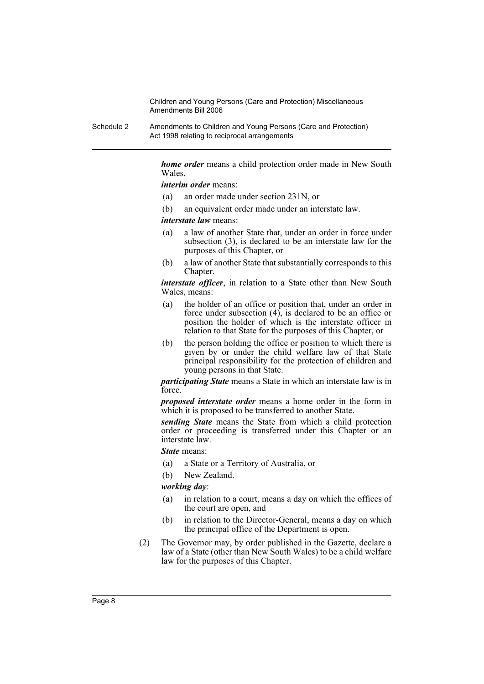Schedule 2 Amendments to Children and Young Persons (Care and Protection) Act 1998 relating to reciprocal arrangements

> *home order* means a child protection order made in New South Wales.

*interim order* means:

- (a) an order made under section 231N, or
- (b) an equivalent order made under an interstate law.

*interstate law* means:

- (a) a law of another State that, under an order in force under subsection (3), is declared to be an interstate law for the purposes of this Chapter, or
- (b) a law of another State that substantially corresponds to this Chapter.

*interstate officer*, in relation to a State other than New South Wales, means:

- (a) the holder of an office or position that, under an order in force under subsection  $(4)$ , is declared to be an office or position the holder of which is the interstate officer in relation to that State for the purposes of this Chapter, or
- (b) the person holding the office or position to which there is given by or under the child welfare law of that State principal responsibility for the protection of children and young persons in that State.

*participating State* means a State in which an interstate law is in force.

*proposed interstate order* means a home order in the form in which it is proposed to be transferred to another State.

*sending State* means the State from which a child protection order or proceeding is transferred under this Chapter or an interstate law.

*State* means:

- (a) a State or a Territory of Australia, or
- (b) New Zealand.

*working day*:

- (a) in relation to a court, means a day on which the offices of the court are open, and
- (b) in relation to the Director-General, means a day on which the principal office of the Department is open.
- (2) The Governor may, by order published in the Gazette, declare a law of a State (other than New South Wales) to be a child welfare law for the purposes of this Chapter.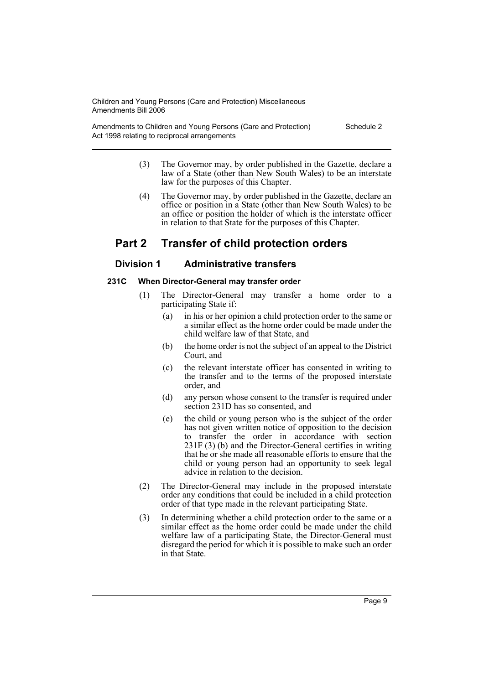Amendments to Children and Young Persons (Care and Protection) Act 1998 relating to reciprocal arrangements

- Schedule 2
- (3) The Governor may, by order published in the Gazette, declare a law of a State (other than New South Wales) to be an interstate law for the purposes of this Chapter.
- (4) The Governor may, by order published in the Gazette, declare an office or position in a State (other than New South Wales) to be an office or position the holder of which is the interstate officer in relation to that State for the purposes of this Chapter.

# **Part 2 Transfer of child protection orders**

# **Division 1 Administrative transfers**

# **231C When Director-General may transfer order**

- (1) The Director-General may transfer a home order to a participating State if:
	- (a) in his or her opinion a child protection order to the same or a similar effect as the home order could be made under the child welfare law of that State, and
	- (b) the home order is not the subject of an appeal to the District Court, and
	- (c) the relevant interstate officer has consented in writing to the transfer and to the terms of the proposed interstate order, and
	- (d) any person whose consent to the transfer is required under section 231D has so consented, and
	- (e) the child or young person who is the subject of the order has not given written notice of opposition to the decision to transfer the order in accordance with section 231F (3) (b) and the Director-General certifies in writing that he or she made all reasonable efforts to ensure that the child or young person had an opportunity to seek legal advice in relation to the decision.
- (2) The Director-General may include in the proposed interstate order any conditions that could be included in a child protection order of that type made in the relevant participating State.
- (3) In determining whether a child protection order to the same or a similar effect as the home order could be made under the child welfare law of a participating State, the Director-General must disregard the period for which it is possible to make such an order in that State.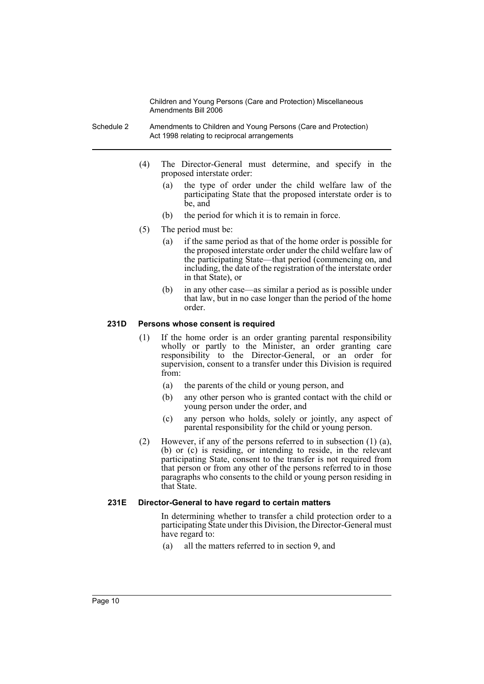- Schedule 2 Amendments to Children and Young Persons (Care and Protection) Act 1998 relating to reciprocal arrangements
	- (4) The Director-General must determine, and specify in the proposed interstate order:
		- (a) the type of order under the child welfare law of the participating State that the proposed interstate order is to be, and
		- (b) the period for which it is to remain in force.
	- (5) The period must be:
		- (a) if the same period as that of the home order is possible for the proposed interstate order under the child welfare law of the participating State—that period (commencing on, and including, the date of the registration of the interstate order in that State), or
		- (b) in any other case—as similar a period as is possible under that law, but in no case longer than the period of the home order.

#### **231D Persons whose consent is required**

- (1) If the home order is an order granting parental responsibility wholly or partly to the Minister, an order granting care responsibility to the Director-General, or an order for supervision, consent to a transfer under this Division is required from:
	- (a) the parents of the child or young person, and
	- (b) any other person who is granted contact with the child or young person under the order, and
	- (c) any person who holds, solely or jointly, any aspect of parental responsibility for the child or young person.
- (2) However, if any of the persons referred to in subsection (1) (a), (b) or (c) is residing, or intending to reside, in the relevant participating State, consent to the transfer is not required from that person or from any other of the persons referred to in those paragraphs who consents to the child or young person residing in that State.

#### **231E Director-General to have regard to certain matters**

In determining whether to transfer a child protection order to a participating State under this Division, the Director-General must have regard to:

(a) all the matters referred to in section 9, and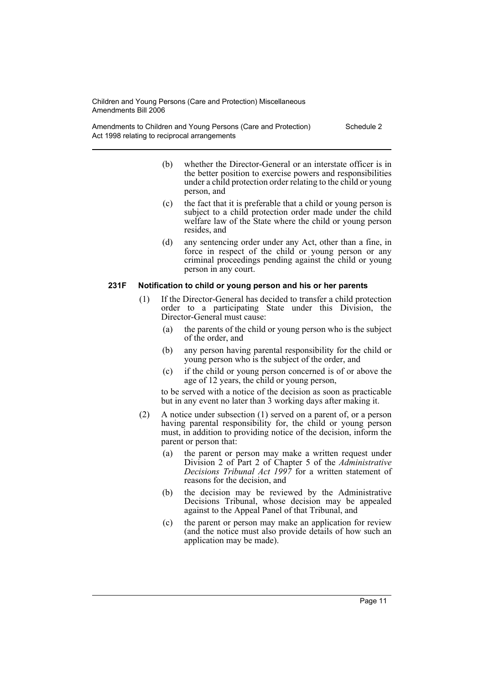Amendments to Children and Young Persons (Care and Protection) Act 1998 relating to reciprocal arrangements

Schedule 2

- (b) whether the Director-General or an interstate officer is in the better position to exercise powers and responsibilities under a child protection order relating to the child or young person, and
- (c) the fact that it is preferable that a child or young person is subject to a child protection order made under the child welfare law of the State where the child or young person resides, and
- (d) any sentencing order under any Act, other than a fine, in force in respect of the child or young person or any criminal proceedings pending against the child or young person in any court.

#### **231F Notification to child or young person and his or her parents**

- (1) If the Director-General has decided to transfer a child protection order to a participating State under this Division, the Director-General must cause:
	- (a) the parents of the child or young person who is the subject of the order, and
	- (b) any person having parental responsibility for the child or young person who is the subject of the order, and
	- (c) if the child or young person concerned is of or above the age of 12 years, the child or young person,

to be served with a notice of the decision as soon as practicable but in any event no later than 3 working days after making it.

- (2) A notice under subsection (1) served on a parent of, or a person having parental responsibility for, the child or young person must, in addition to providing notice of the decision, inform the parent or person that:
	- (a) the parent or person may make a written request under Division 2 of Part 2 of Chapter 5 of the *Administrative Decisions Tribunal Act 1997* for a written statement of reasons for the decision, and
	- (b) the decision may be reviewed by the Administrative Decisions Tribunal, whose decision may be appealed against to the Appeal Panel of that Tribunal, and
	- (c) the parent or person may make an application for review (and the notice must also provide details of how such an application may be made).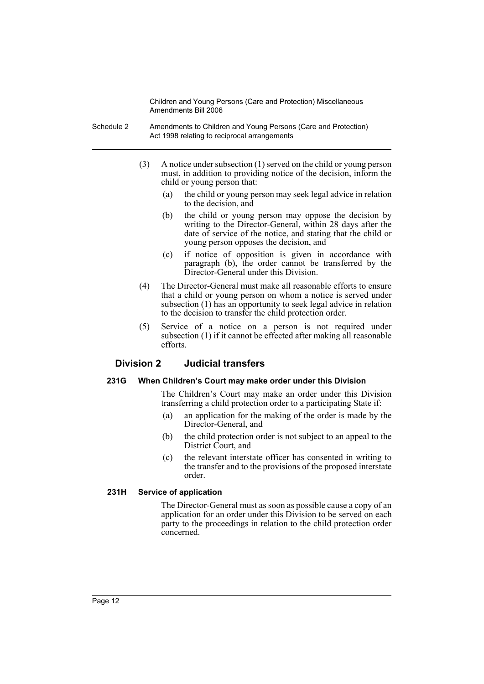- Schedule 2 Amendments to Children and Young Persons (Care and Protection) Act 1998 relating to reciprocal arrangements
	- (3) A notice under subsection (1) served on the child or young person must, in addition to providing notice of the decision, inform the child or young person that:
		- (a) the child or young person may seek legal advice in relation to the decision, and
		- (b) the child or young person may oppose the decision by writing to the Director-General, within 28 days after the date of service of the notice, and stating that the child or young person opposes the decision, and
		- (c) if notice of opposition is given in accordance with paragraph (b), the order cannot be transferred by the Director-General under this Division.
	- (4) The Director-General must make all reasonable efforts to ensure that a child or young person on whom a notice is served under subsection (1) has an opportunity to seek legal advice in relation to the decision to transfer the child protection order.
	- (5) Service of a notice on a person is not required under subsection (1) if it cannot be effected after making all reasonable efforts.

# **Division 2 Judicial transfers**

# **231G When Children's Court may make order under this Division**

The Children's Court may make an order under this Division transferring a child protection order to a participating State if:

- (a) an application for the making of the order is made by the Director-General, and
- (b) the child protection order is not subject to an appeal to the District Court, and
- (c) the relevant interstate officer has consented in writing to the transfer and to the provisions of the proposed interstate order.

# **231H Service of application**

The Director-General must as soon as possible cause a copy of an application for an order under this Division to be served on each party to the proceedings in relation to the child protection order concerned.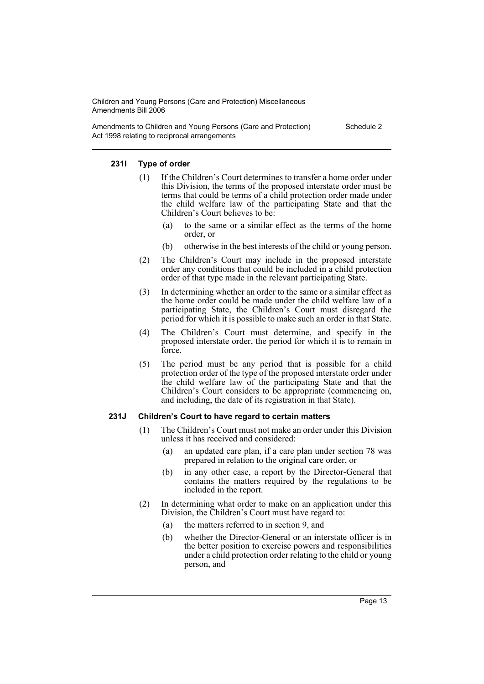Amendments to Children and Young Persons (Care and Protection) Act 1998 relating to reciprocal arrangements

Schedule 2

#### **231I Type of order**

- (1) If the Children's Court determines to transfer a home order under this Division, the terms of the proposed interstate order must be terms that could be terms of a child protection order made under the child welfare law of the participating State and that the Children's Court believes to be:
	- to the same or a similar effect as the terms of the home order, or
	- (b) otherwise in the best interests of the child or young person.
- (2) The Children's Court may include in the proposed interstate order any conditions that could be included in a child protection order of that type made in the relevant participating State.
- (3) In determining whether an order to the same or a similar effect as the home order could be made under the child welfare law of a participating State, the Children's Court must disregard the period for which it is possible to make such an order in that State.
- (4) The Children's Court must determine, and specify in the proposed interstate order, the period for which it is to remain in force.
- (5) The period must be any period that is possible for a child protection order of the type of the proposed interstate order under the child welfare law of the participating State and that the Children's Court considers to be appropriate (commencing on, and including, the date of its registration in that State).

# **231J Children's Court to have regard to certain matters**

- (1) The Children's Court must not make an order under this Division unless it has received and considered:
	- (a) an updated care plan, if a care plan under section 78 was prepared in relation to the original care order, or
	- (b) in any other case, a report by the Director-General that contains the matters required by the regulations to be included in the report.
- (2) In determining what order to make on an application under this Division, the Children's Court must have regard to:
	- (a) the matters referred to in section 9, and
	- (b) whether the Director-General or an interstate officer is in the better position to exercise powers and responsibilities under a child protection order relating to the child or young person, and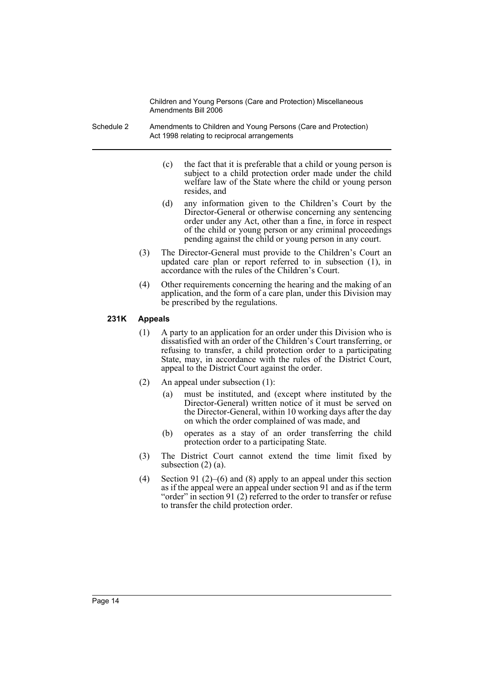- Schedule 2 Amendments to Children and Young Persons (Care and Protection) Act 1998 relating to reciprocal arrangements
	- (c) the fact that it is preferable that a child or young person is subject to a child protection order made under the child welfare law of the State where the child or young person resides, and
	- (d) any information given to the Children's Court by the Director-General or otherwise concerning any sentencing order under any Act, other than a fine, in force in respect of the child or young person or any criminal proceedings pending against the child or young person in any court.
	- (3) The Director-General must provide to the Children's Court an updated care plan or report referred to in subsection (1), in accordance with the rules of the Children's Court.
	- (4) Other requirements concerning the hearing and the making of an application, and the form of a care plan, under this Division may be prescribed by the regulations.

#### **231K Appeals**

- (1) A party to an application for an order under this Division who is dissatisfied with an order of the Children's Court transferring, or refusing to transfer, a child protection order to a participating State, may, in accordance with the rules of the District Court, appeal to the District Court against the order.
- (2) An appeal under subsection (1):
	- (a) must be instituted, and (except where instituted by the Director-General) written notice of it must be served on the Director-General, within 10 working days after the day on which the order complained of was made, and
	- (b) operates as a stay of an order transferring the child protection order to a participating State.
- (3) The District Court cannot extend the time limit fixed by subsection (2) (a).
- (4) Section 91 (2)–(6) and (8) apply to an appeal under this section as if the appeal were an appeal under section 91 and as if the term "order" in section 91 (2) referred to the order to transfer or refuse to transfer the child protection order.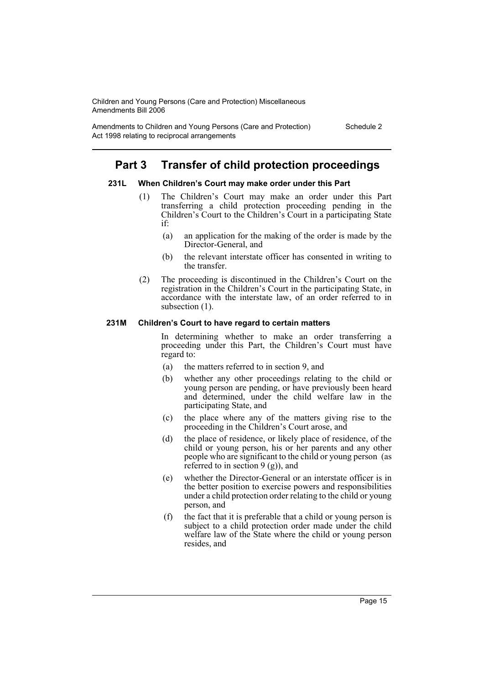Amendments to Children and Young Persons (Care and Protection) Act 1998 relating to reciprocal arrangements

Schedule 2

# **Part 3 Transfer of child protection proceedings**

# **231L When Children's Court may make order under this Part**

- (1) The Children's Court may make an order under this Part transferring a child protection proceeding pending in the Children's Court to the Children's Court in a participating State if:
	- (a) an application for the making of the order is made by the Director-General, and
	- (b) the relevant interstate officer has consented in writing to the transfer.
- (2) The proceeding is discontinued in the Children's Court on the registration in the Children's Court in the participating State, in accordance with the interstate law, of an order referred to in subsection (1).

#### **231M Children's Court to have regard to certain matters**

In determining whether to make an order transferring a proceeding under this Part, the Children's Court must have regard to:

- (a) the matters referred to in section 9, and
- (b) whether any other proceedings relating to the child or young person are pending, or have previously been heard and determined, under the child welfare law in the participating State, and
- (c) the place where any of the matters giving rise to the proceeding in the Children's Court arose, and
- (d) the place of residence, or likely place of residence, of the child or young person, his or her parents and any other people who are significant to the child or young person (as referred to in section  $9$  (g)), and
- (e) whether the Director-General or an interstate officer is in the better position to exercise powers and responsibilities under a child protection order relating to the child or young person, and
- (f) the fact that it is preferable that a child or young person is subject to a child protection order made under the child welfare law of the State where the child or young person resides, and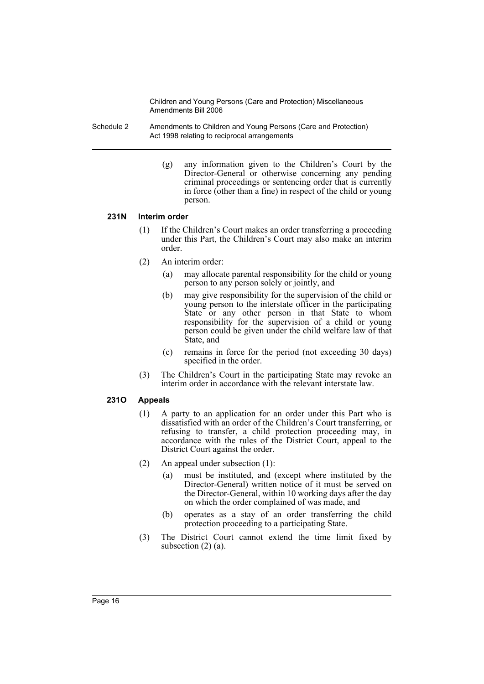- Schedule 2 Amendments to Children and Young Persons (Care and Protection) Act 1998 relating to reciprocal arrangements
	- (g) any information given to the Children's Court by the Director-General or otherwise concerning any pending criminal proceedings or sentencing order that is currently in force (other than a fine) in respect of the child or young person.

#### **231N Interim order**

- (1) If the Children's Court makes an order transferring a proceeding under this Part, the Children's Court may also make an interim order.
- (2) An interim order:
	- (a) may allocate parental responsibility for the child or young person to any person solely or jointly, and
	- (b) may give responsibility for the supervision of the child or young person to the interstate officer in the participating State or any other person in that State to whom responsibility for the supervision of a child or young person could be given under the child welfare law of that State, and
	- (c) remains in force for the period (not exceeding 30 days) specified in the order.
- (3) The Children's Court in the participating State may revoke an interim order in accordance with the relevant interstate law.

# **231O Appeals**

- (1) A party to an application for an order under this Part who is dissatisfied with an order of the Children's Court transferring, or refusing to transfer, a child protection proceeding may, in accordance with the rules of the District Court, appeal to the District Court against the order.
- (2) An appeal under subsection (1):
	- (a) must be instituted, and (except where instituted by the Director-General) written notice of it must be served on the Director-General, within 10 working days after the day on which the order complained of was made, and
	- (b) operates as a stay of an order transferring the child protection proceeding to a participating State.
- (3) The District Court cannot extend the time limit fixed by subsection  $(2)$   $(a)$ .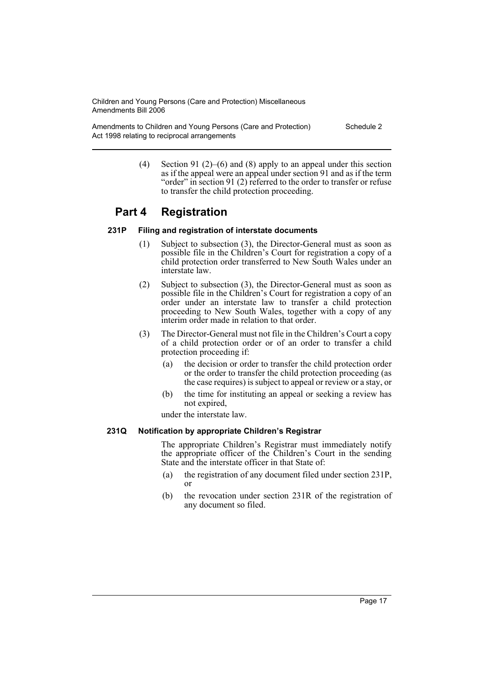Amendments to Children and Young Persons (Care and Protection) Act 1998 relating to reciprocal arrangements

Schedule 2

(4) Section 91 (2)–(6) and (8) apply to an appeal under this section as if the appeal were an appeal under section 91 and as if the term "order" in section 91 (2) referred to the order to transfer or refuse to transfer the child protection proceeding.

# **Part 4 Registration**

# **231P Filing and registration of interstate documents**

- (1) Subject to subsection (3), the Director-General must as soon as possible file in the Children's Court for registration a copy of a child protection order transferred to New South Wales under an interstate law.
- (2) Subject to subsection (3), the Director-General must as soon as possible file in the Children's Court for registration a copy of an order under an interstate law to transfer a child protection proceeding to New South Wales, together with a copy of any interim order made in relation to that order.
- (3) The Director-General must not file in the Children's Court a copy of a child protection order or of an order to transfer a child protection proceeding if:
	- (a) the decision or order to transfer the child protection order or the order to transfer the child protection proceeding (as the case requires) is subject to appeal or review or a stay, or
	- (b) the time for instituting an appeal or seeking a review has not expired,

under the interstate law.

# **231Q Notification by appropriate Children's Registrar**

The appropriate Children's Registrar must immediately notify the appropriate officer of the Children's Court in the sending State and the interstate officer in that State of:

- (a) the registration of any document filed under section 231P, or
- (b) the revocation under section 231R of the registration of any document so filed.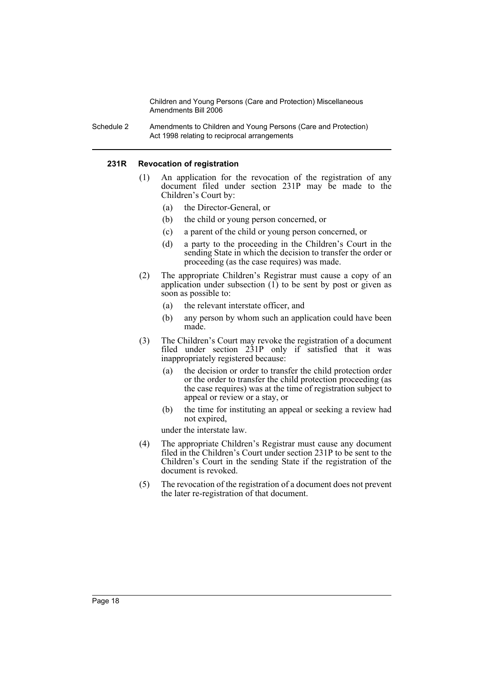Schedule 2 Amendments to Children and Young Persons (Care and Protection) Act 1998 relating to reciprocal arrangements

#### **231R Revocation of registration**

- (1) An application for the revocation of the registration of any document filed under section 231P may be made to the Children's Court by:
	- (a) the Director-General, or
	- (b) the child or young person concerned, or
	- (c) a parent of the child or young person concerned, or
	- (d) a party to the proceeding in the Children's Court in the sending State in which the decision to transfer the order or proceeding (as the case requires) was made.
- (2) The appropriate Children's Registrar must cause a copy of an application under subsection (1) to be sent by post or given as soon as possible to:
	- (a) the relevant interstate officer, and
	- (b) any person by whom such an application could have been made.
- (3) The Children's Court may revoke the registration of a document filed under section 231P only if satisfied that it was inappropriately registered because:
	- (a) the decision or order to transfer the child protection order or the order to transfer the child protection proceeding (as the case requires) was at the time of registration subject to appeal or review or a stay, or
	- (b) the time for instituting an appeal or seeking a review had not expired,

under the interstate law.

- (4) The appropriate Children's Registrar must cause any document filed in the Children's Court under section 231P to be sent to the Children's Court in the sending State if the registration of the document is revoked.
- (5) The revocation of the registration of a document does not prevent the later re-registration of that document.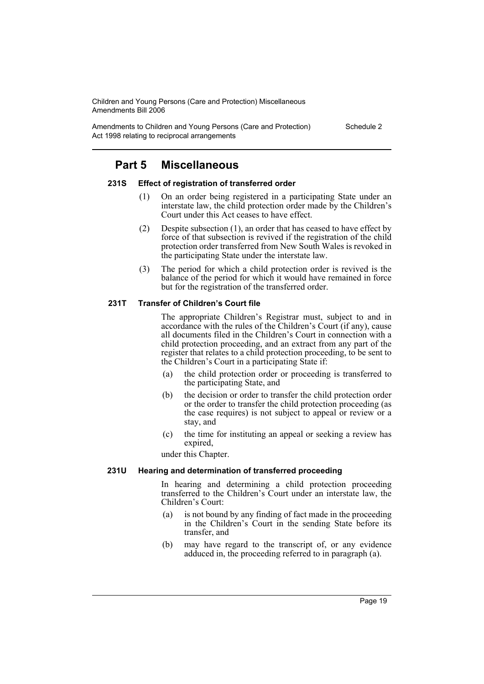Amendments to Children and Young Persons (Care and Protection) Act 1998 relating to reciprocal arrangements

Schedule 2

# **Part 5 Miscellaneous**

#### **231S Effect of registration of transferred order**

- (1) On an order being registered in a participating State under an interstate law, the child protection order made by the Children's Court under this Act ceases to have effect.
- (2) Despite subsection (1), an order that has ceased to have effect by force of that subsection is revived if the registration of the child protection order transferred from New South Wales is revoked in the participating State under the interstate law.
- (3) The period for which a child protection order is revived is the balance of the period for which it would have remained in force but for the registration of the transferred order.

# **231T Transfer of Children's Court file**

The appropriate Children's Registrar must, subject to and in accordance with the rules of the Children's Court (if any), cause all documents filed in the Children's Court in connection with a child protection proceeding, and an extract from any part of the register that relates to a child protection proceeding, to be sent to the Children's Court in a participating State if:

- (a) the child protection order or proceeding is transferred to the participating State, and
- (b) the decision or order to transfer the child protection order or the order to transfer the child protection proceeding (as the case requires) is not subject to appeal or review or a stay, and
- (c) the time for instituting an appeal or seeking a review has expired,

under this Chapter.

# **231U Hearing and determination of transferred proceeding**

In hearing and determining a child protection proceeding transferred to the Children's Court under an interstate law, the Children's Court:

- (a) is not bound by any finding of fact made in the proceeding in the Children's Court in the sending State before its transfer, and
- (b) may have regard to the transcript of, or any evidence adduced in, the proceeding referred to in paragraph (a).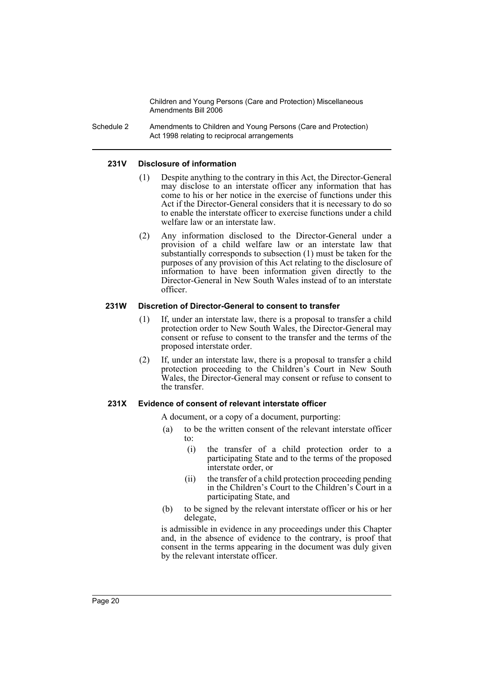Schedule 2 Amendments to Children and Young Persons (Care and Protection) Act 1998 relating to reciprocal arrangements

#### **231V Disclosure of information**

- (1) Despite anything to the contrary in this Act, the Director-General may disclose to an interstate officer any information that has come to his or her notice in the exercise of functions under this Act if the Director-General considers that it is necessary to do so to enable the interstate officer to exercise functions under a child welfare law or an interstate law.
- (2) Any information disclosed to the Director-General under a provision of a child welfare law or an interstate law that substantially corresponds to subsection (1) must be taken for the purposes of any provision of this Act relating to the disclosure of information to have been information given directly to the Director-General in New South Wales instead of to an interstate officer.

#### **231W Discretion of Director-General to consent to transfer**

- (1) If, under an interstate law, there is a proposal to transfer a child protection order to New South Wales, the Director-General may consent or refuse to consent to the transfer and the terms of the proposed interstate order.
- (2) If, under an interstate law, there is a proposal to transfer a child protection proceeding to the Children's Court in New South Wales, the Director-General may consent or refuse to consent to the transfer.

#### **231X Evidence of consent of relevant interstate officer**

A document, or a copy of a document, purporting:

- (a) to be the written consent of the relevant interstate officer to:
	- (i) the transfer of a child protection order to a participating State and to the terms of the proposed interstate order, or
	- (ii) the transfer of a child protection proceeding pending in the Children's Court to the Children's Court in a participating State, and
- (b) to be signed by the relevant interstate officer or his or her delegate,

is admissible in evidence in any proceedings under this Chapter and, in the absence of evidence to the contrary, is proof that consent in the terms appearing in the document was duly given by the relevant interstate officer.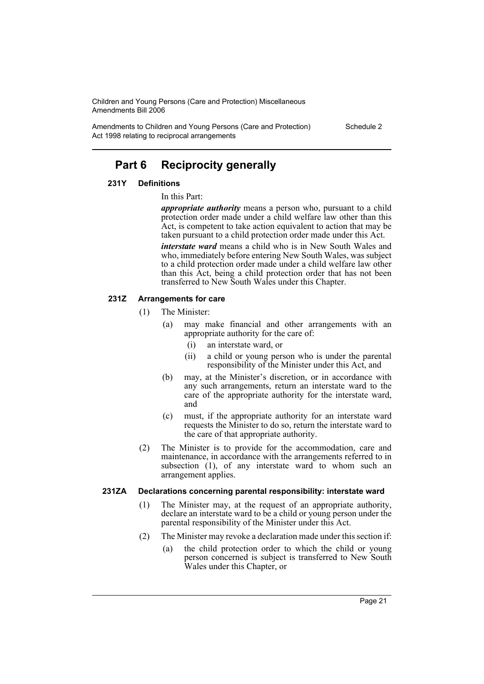Amendments to Children and Young Persons (Care and Protection) Act 1998 relating to reciprocal arrangements

Schedule 2

# **Part 6 Reciprocity generally**

#### **231Y Definitions**

#### In this Part:

*appropriate authority* means a person who, pursuant to a child protection order made under a child welfare law other than this Act, is competent to take action equivalent to action that may be taken pursuant to a child protection order made under this Act.

*interstate ward* means a child who is in New South Wales and who, immediately before entering New South Wales, was subject to a child protection order made under a child welfare law other than this Act, being a child protection order that has not been transferred to New South Wales under this Chapter.

# **231Z Arrangements for care**

- (1) The Minister:
	- (a) may make financial and other arrangements with an appropriate authority for the care of:
		- (i) an interstate ward, or
		- (ii) a child or young person who is under the parental responsibility of the Minister under this Act, and
	- (b) may, at the Minister's discretion, or in accordance with any such arrangements, return an interstate ward to the care of the appropriate authority for the interstate ward, and
	- (c) must, if the appropriate authority for an interstate ward requests the Minister to do so, return the interstate ward to the care of that appropriate authority.
- (2) The Minister is to provide for the accommodation, care and maintenance, in accordance with the arrangements referred to in subsection (1), of any interstate ward to whom such an arrangement applies.

# **231ZA Declarations concerning parental responsibility: interstate ward**

- (1) The Minister may, at the request of an appropriate authority, declare an interstate ward to be a child or young person under the parental responsibility of the Minister under this Act.
- (2) The Minister may revoke a declaration made under this section if:
	- (a) the child protection order to which the child or young person concerned is subject is transferred to New South Wales under this Chapter, or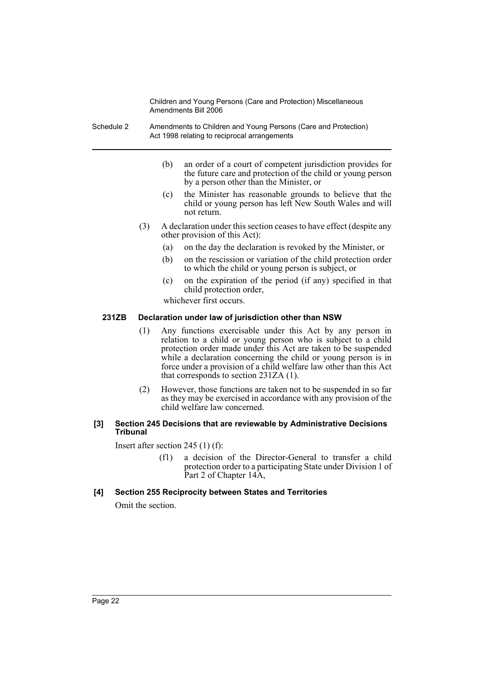- Schedule 2 Amendments to Children and Young Persons (Care and Protection) Act 1998 relating to reciprocal arrangements
	- (b) an order of a court of competent jurisdiction provides for the future care and protection of the child or young person by a person other than the Minister, or
	- (c) the Minister has reasonable grounds to believe that the child or young person has left New South Wales and will not return.
	- (3) A declaration under this section ceases to have effect (despite any other provision of this Act):
		- (a) on the day the declaration is revoked by the Minister, or
		- (b) on the rescission or variation of the child protection order to which the child or young person is subject, or
		- (c) on the expiration of the period (if any) specified in that child protection order,

whichever first occurs.

# **231ZB Declaration under law of jurisdiction other than NSW**

- (1) Any functions exercisable under this Act by any person in relation to a child or young person who is subject to a child protection order made under this Act are taken to be suspended while a declaration concerning the child or young person is in force under a provision of a child welfare law other than this Act that corresponds to section 231ZA (1).
- (2) However, those functions are taken not to be suspended in so far as they may be exercised in accordance with any provision of the child welfare law concerned.

#### **[3] Section 245 Decisions that are reviewable by Administrative Decisions Tribunal**

Insert after section 245 (1) (f):

(f1) a decision of the Director-General to transfer a child protection order to a participating State under Division 1 of Part 2 of Chapter 14A,

# **[4] Section 255 Reciprocity between States and Territories**

Omit the section.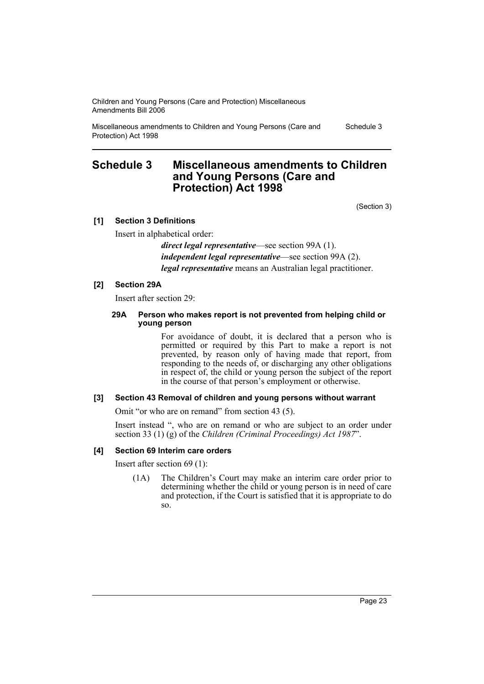Miscellaneous amendments to Children and Young Persons (Care and Protection) Act 1998

Schedule 3

# **Schedule 3 Miscellaneous amendments to Children and Young Persons (Care and Protection) Act 1998**

(Section 3)

# **[1] Section 3 Definitions**

Insert in alphabetical order:

*direct legal representative*—see section 99A (1). *independent legal representative*—see section 99A (2). *legal representative* means an Australian legal practitioner.

# **[2] Section 29A**

Insert after section 29:

#### **29A Person who makes report is not prevented from helping child or young person**

For avoidance of doubt, it is declared that a person who is permitted or required by this Part to make a report is not prevented, by reason only of having made that report, from responding to the needs of, or discharging any other obligations in respect of, the child or young person the subject of the report in the course of that person's employment or otherwise.

# **[3] Section 43 Removal of children and young persons without warrant**

Omit "or who are on remand" from section 43 (5).

Insert instead ", who are on remand or who are subject to an order under section 33 (1) (g) of the *Children (Criminal Proceedings) Act 1987*".

# **[4] Section 69 Interim care orders**

Insert after section 69 (1):

(1A) The Children's Court may make an interim care order prior to determining whether the child or young person is in need of care and protection, if the Court is satisfied that it is appropriate to do so.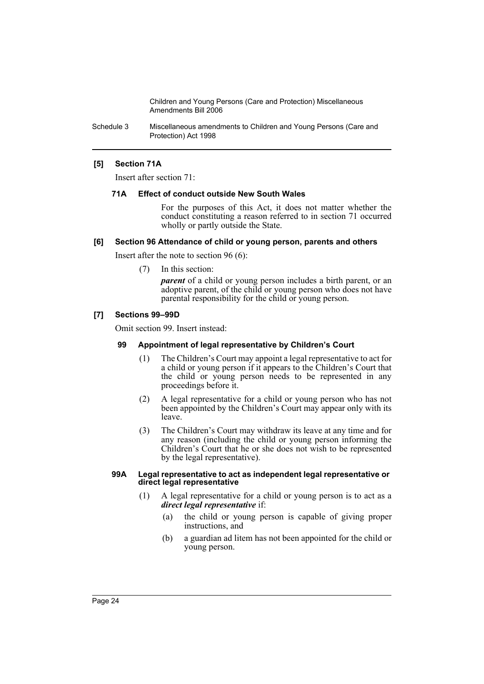Schedule 3 Miscellaneous amendments to Children and Young Persons (Care and Protection) Act 1998

### **[5] Section 71A**

Insert after section 71:

#### **71A Effect of conduct outside New South Wales**

For the purposes of this Act, it does not matter whether the conduct constituting a reason referred to in section 71 occurred wholly or partly outside the State.

#### **[6] Section 96 Attendance of child or young person, parents and others**

Insert after the note to section 96 (6):

(7) In this section:

*parent* of a child or young person includes a birth parent, or an adoptive parent, of the child or young person who does not have parental responsibility for the child or young person.

# **[7] Sections 99–99D**

Omit section 99. Insert instead:

### **99 Appointment of legal representative by Children's Court**

- (1) The Children's Court may appoint a legal representative to act for a child or young person if it appears to the Children's Court that the child or young person needs to be represented in any proceedings before it.
- (2) A legal representative for a child or young person who has not been appointed by the Children's Court may appear only with its leave.
- (3) The Children's Court may withdraw its leave at any time and for any reason (including the child or young person informing the Children's Court that he or she does not wish to be represented by the legal representative).

#### **99A Legal representative to act as independent legal representative or direct legal representative**

- (1) A legal representative for a child or young person is to act as a *direct legal representative* if:
	- (a) the child or young person is capable of giving proper instructions, and
	- (b) a guardian ad litem has not been appointed for the child or young person.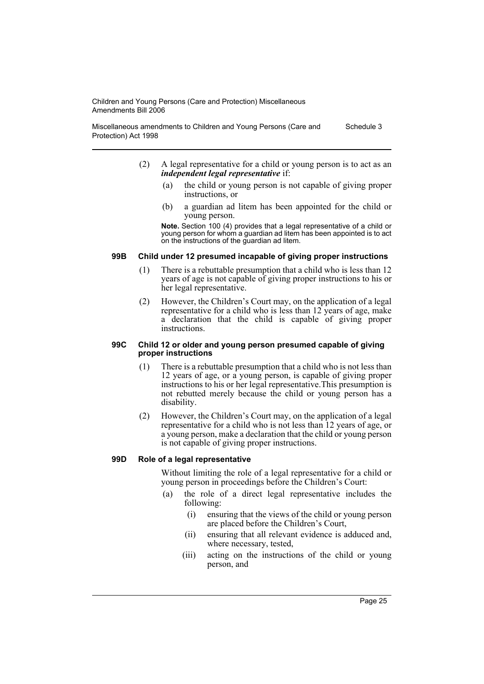Miscellaneous amendments to Children and Young Persons (Care and Protection) Act 1998 Schedule 3

- (2) A legal representative for a child or young person is to act as an *independent legal representative* if:
	- (a) the child or young person is not capable of giving proper instructions, or
	- (b) a guardian ad litem has been appointed for the child or young person.

**Note.** Section 100 (4) provides that a legal representative of a child or young person for whom a guardian ad litem has been appointed is to act on the instructions of the guardian ad litem.

# **99B Child under 12 presumed incapable of giving proper instructions**

- (1) There is a rebuttable presumption that a child who is less than 12 years of age is not capable of giving proper instructions to his or her legal representative.
- (2) However, the Children's Court may, on the application of a legal representative for a child who is less than  $12$  years of age, make a declaration that the child is capable of giving proper instructions.

#### **99C Child 12 or older and young person presumed capable of giving proper instructions**

- (1) There is a rebuttable presumption that a child who is not less than 12 years of age, or a young person, is capable of giving proper instructions to his or her legal representative.This presumption is not rebutted merely because the child or young person has a disability.
- (2) However, the Children's Court may, on the application of a legal representative for a child who is not less than 12 years of age, or a young person, make a declaration that the child or young person is not capable of giving proper instructions.

#### **99D Role of a legal representative**

Without limiting the role of a legal representative for a child or young person in proceedings before the Children's Court:

- (a) the role of a direct legal representative includes the following:
	- (i) ensuring that the views of the child or young person are placed before the Children's Court,
	- (ii) ensuring that all relevant evidence is adduced and, where necessary, tested,
	- (iii) acting on the instructions of the child or young person, and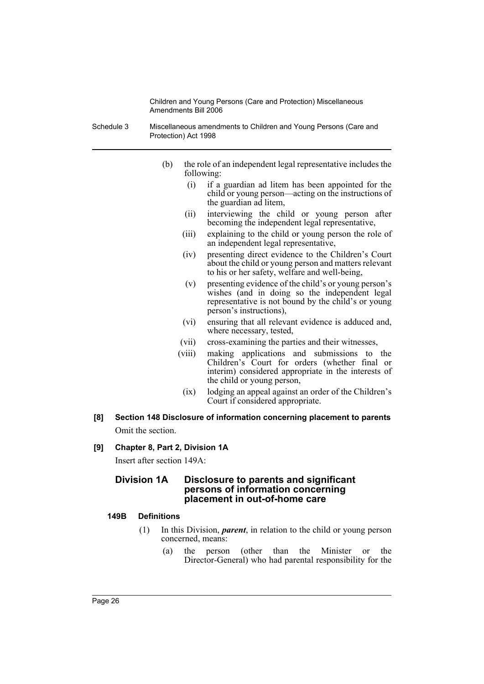- Schedule 3 Miscellaneous amendments to Children and Young Persons (Care and Protection) Act 1998
	- (b) the role of an independent legal representative includes the following:
		- (i) if a guardian ad litem has been appointed for the child or young person—acting on the instructions of the guardian ad litem,
		- (ii) interviewing the child or young person after becoming the independent legal representative,
		- (iii) explaining to the child or young person the role of an independent legal representative,
		- (iv) presenting direct evidence to the Children's Court about the child or young person and matters relevant to his or her safety, welfare and well-being,
		- (v) presenting evidence of the child's or young person's wishes (and in doing so the independent legal representative is not bound by the child's or young person's instructions),
		- (vi) ensuring that all relevant evidence is adduced and, where necessary, tested,
		- (vii) cross-examining the parties and their witnesses,
		- (viii) making applications and submissions to the Children's Court for orders (whether final or interim) considered appropriate in the interests of the child or young person,
			- (ix) lodging an appeal against an order of the Children's Court if considered appropriate.
- **[8] Section 148 Disclosure of information concerning placement to parents** Omit the section.
- **[9] Chapter 8, Part 2, Division 1A**

Insert after section 149A:

# **Division 1A Disclosure to parents and significant persons of information concerning placement in out-of-home care**

# **149B Definitions**

- (1) In this Division, *parent*, in relation to the child or young person concerned, means:
	- (a) the person (other than the Minister or the Director-General) who had parental responsibility for the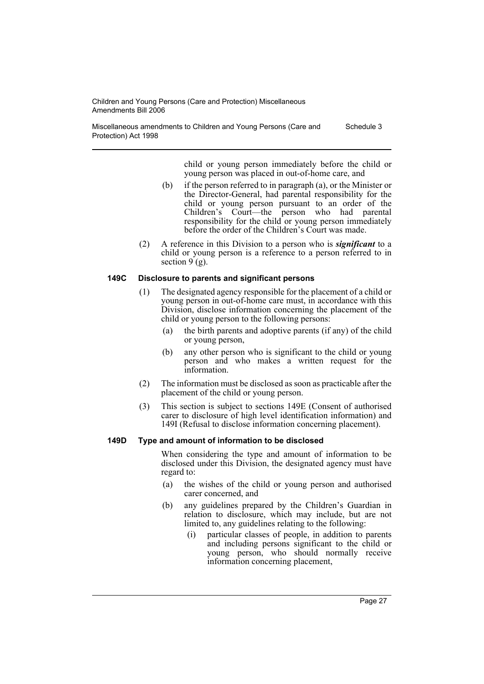Miscellaneous amendments to Children and Young Persons (Care and Protection) Act 1998 Schedule 3

> child or young person immediately before the child or young person was placed in out-of-home care, and

- (b) if the person referred to in paragraph (a), or the Minister or the Director-General, had parental responsibility for the child or young person pursuant to an order of the Children's Court—the person who had parental responsibility for the child or young person immediately before the order of the Children's Court was made.
- (2) A reference in this Division to a person who is *significant* to a child or young person is a reference to a person referred to in section  $9(g)$ .

#### **149C Disclosure to parents and significant persons**

- (1) The designated agency responsible for the placement of a child or young person in out-of-home care must, in accordance with this Division, disclose information concerning the placement of the child or young person to the following persons:
	- (a) the birth parents and adoptive parents (if any) of the child or young person,
	- (b) any other person who is significant to the child or young person and who makes a written request for the information.
- (2) The information must be disclosed as soon as practicable after the placement of the child or young person.
- (3) This section is subject to sections 149E (Consent of authorised carer to disclosure of high level identification information) and 149I (Refusal to disclose information concerning placement).

# **149D Type and amount of information to be disclosed**

When considering the type and amount of information to be disclosed under this Division, the designated agency must have regard to:

- (a) the wishes of the child or young person and authorised carer concerned, and
- (b) any guidelines prepared by the Children's Guardian in relation to disclosure, which may include, but are not limited to, any guidelines relating to the following:
	- (i) particular classes of people, in addition to parents and including persons significant to the child or young person, who should normally receive information concerning placement,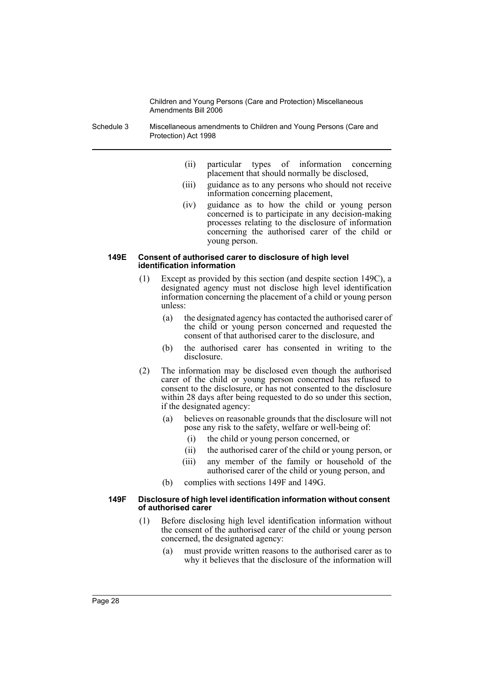Schedule 3 Miscellaneous amendments to Children and Young Persons (Care and Protection) Act 1998

- (ii) particular types of information concerning placement that should normally be disclosed,
- (iii) guidance as to any persons who should not receive information concerning placement,
- (iv) guidance as to how the child or young person concerned is to participate in any decision-making processes relating to the disclosure of information concerning the authorised carer of the child or young person.

#### **149E Consent of authorised carer to disclosure of high level identification information**

- (1) Except as provided by this section (and despite section 149C), a designated agency must not disclose high level identification information concerning the placement of a child or young person unless:
	- (a) the designated agency has contacted the authorised carer of the child or young person concerned and requested the consent of that authorised carer to the disclosure, and
	- (b) the authorised carer has consented in writing to the disclosure.
- (2) The information may be disclosed even though the authorised carer of the child or young person concerned has refused to consent to the disclosure, or has not consented to the disclosure within 28 days after being requested to do so under this section, if the designated agency:
	- (a) believes on reasonable grounds that the disclosure will not pose any risk to the safety, welfare or well-being of:
		- (i) the child or young person concerned, or
		- (ii) the authorised carer of the child or young person, or
		- (iii) any member of the family or household of the authorised carer of the child or young person, and
	- (b) complies with sections 149F and 149G.

#### **149F Disclosure of high level identification information without consent of authorised carer**

- (1) Before disclosing high level identification information without the consent of the authorised carer of the child or young person concerned, the designated agency:
	- (a) must provide written reasons to the authorised carer as to why it believes that the disclosure of the information will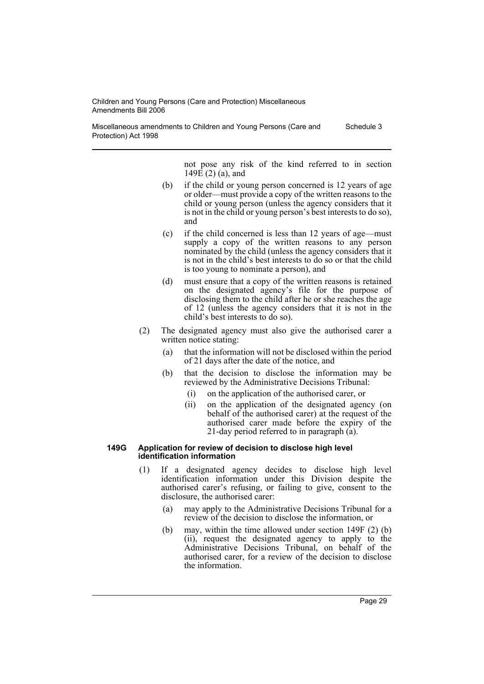Miscellaneous amendments to Children and Young Persons (Care and Protection) Act 1998 Schedule 3

> not pose any risk of the kind referred to in section 149 $\hat{E}$  (2) (a), and

- (b) if the child or young person concerned is 12 years of age or older—must provide a copy of the written reasons to the child or young person (unless the agency considers that it is not in the child or young person's best interests to do so), and
- (c) if the child concerned is less than 12 years of age—must supply a copy of the written reasons to any person nominated by the child (unless the agency considers that it is not in the child's best interests to do so or that the child is too young to nominate a person), and
- (d) must ensure that a copy of the written reasons is retained on the designated agency's file for the purpose of disclosing them to the child after he or she reaches the age of 12 (unless the agency considers that it is not in the child's best interests to do so).
- (2) The designated agency must also give the authorised carer a written notice stating:
	- (a) that the information will not be disclosed within the period of 21 days after the date of the notice, and
	- (b) that the decision to disclose the information may be reviewed by the Administrative Decisions Tribunal:
		- (i) on the application of the authorised carer, or
		- (ii) on the application of the designated agency (on behalf of the authorised carer) at the request of the authorised carer made before the expiry of the 21-day period referred to in paragraph (a).

#### **149G Application for review of decision to disclose high level identification information**

- (1) If a designated agency decides to disclose high level identification information under this Division despite the authorised carer's refusing, or failing to give, consent to the disclosure, the authorised carer:
	- (a) may apply to the Administrative Decisions Tribunal for a review of the decision to disclose the information, or
	- (b) may, within the time allowed under section 149F (2) (b) (ii), request the designated agency to apply to the Administrative Decisions Tribunal, on behalf of the authorised carer, for a review of the decision to disclose the information.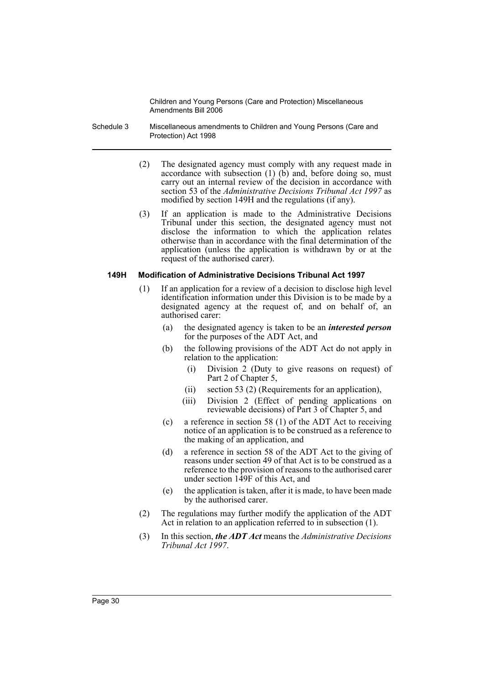- Schedule 3 Miscellaneous amendments to Children and Young Persons (Care and Protection) Act 1998
	- (2) The designated agency must comply with any request made in accordance with subsection  $(1)$   $(b)$  and, before doing so, must carry out an internal review of the decision in accordance with section 53 of the *Administrative Decisions Tribunal Act 1997* as modified by section 149H and the regulations (if any).
	- (3) If an application is made to the Administrative Decisions Tribunal under this section, the designated agency must not disclose the information to which the application relates otherwise than in accordance with the final determination of the application (unless the application is withdrawn by or at the request of the authorised carer).

#### **149H Modification of Administrative Decisions Tribunal Act 1997**

- (1) If an application for a review of a decision to disclose high level identification information under this Division is to be made by a designated agency at the request of, and on behalf of, an authorised carer:
	- (a) the designated agency is taken to be an *interested person* for the purposes of the ADT Act, and
	- (b) the following provisions of the ADT Act do not apply in relation to the application:
		- (i) Division 2 (Duty to give reasons on request) of Part 2 of Chapter 5,
		- (ii) section 53 (2) (Requirements for an application),
		- (iii) Division 2 (Effect of pending applications on reviewable decisions) of Part 3 of Chapter 5, and
	- (c) a reference in section 58 (1) of the ADT Act to receiving notice of an application is to be construed as a reference to the making of an application, and
	- (d) a reference in section 58 of the ADT Act to the giving of reasons under section 49 of that Act is to be construed as a reference to the provision of reasons to the authorised carer under section 149F of this Act, and
	- (e) the application is taken, after it is made, to have been made by the authorised carer.
- (2) The regulations may further modify the application of the ADT Act in relation to an application referred to in subsection (1).
- (3) In this section, *the ADT Act* means the *Administrative Decisions Tribunal Act 1997*.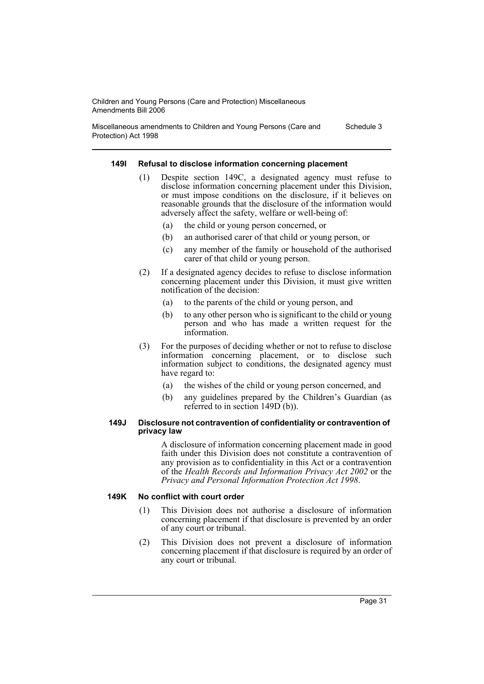Miscellaneous amendments to Children and Young Persons (Care and Protection) Act 1998 Schedule 3

#### **149I Refusal to disclose information concerning placement**

- Despite section 149C, a designated agency must refuse to disclose information concerning placement under this Division, or must impose conditions on the disclosure, if it believes on reasonable grounds that the disclosure of the information would adversely affect the safety, welfare or well-being of:
	- (a) the child or young person concerned, or
	- (b) an authorised carer of that child or young person, or
	- (c) any member of the family or household of the authorised carer of that child or young person.
- (2) If a designated agency decides to refuse to disclose information concerning placement under this Division, it must give written notification of the decision:
	- (a) to the parents of the child or young person, and
	- (b) to any other person who is significant to the child or young person and who has made a written request for the information.
- (3) For the purposes of deciding whether or not to refuse to disclose information concerning placement, or to disclose such information subject to conditions, the designated agency must have regard to:
	- (a) the wishes of the child or young person concerned, and
	- (b) any guidelines prepared by the Children's Guardian (as referred to in section 149D (b)).

#### **149J Disclosure not contravention of confidentiality or contravention of privacy law**

A disclosure of information concerning placement made in good faith under this Division does not constitute a contravention of any provision as to confidentiality in this Act or a contravention of the *Health Records and Information Privacy Act 2002* or the *Privacy and Personal Information Protection Act 1998*.

#### **149K No conflict with court order**

- (1) This Division does not authorise a disclosure of information concerning placement if that disclosure is prevented by an order of any court or tribunal.
- (2) This Division does not prevent a disclosure of information concerning placement if that disclosure is required by an order of any court or tribunal.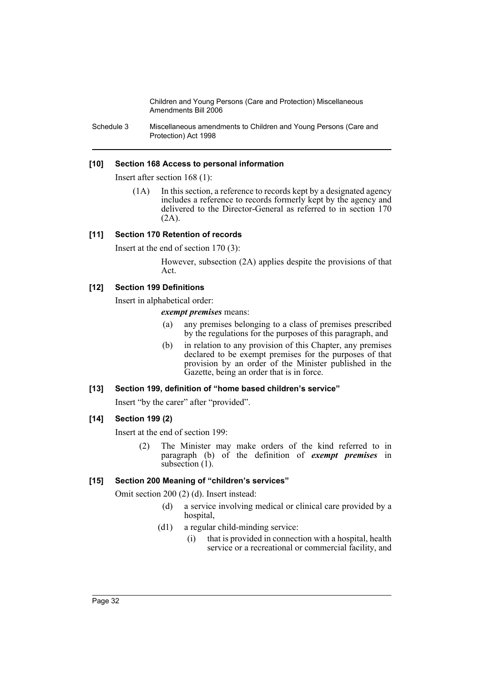Schedule 3 Miscellaneous amendments to Children and Young Persons (Care and Protection) Act 1998

### **[10] Section 168 Access to personal information**

Insert after section 168 (1):

(1A) In this section, a reference to records kept by a designated agency includes a reference to records formerly kept by the agency and delivered to the Director-General as referred to in section 170  $(2A)$ .

#### **[11] Section 170 Retention of records**

Insert at the end of section 170 (3):

However, subsection (2A) applies despite the provisions of that Act.

#### **[12] Section 199 Definitions**

Insert in alphabetical order:

*exempt premises* means:

- (a) any premises belonging to a class of premises prescribed by the regulations for the purposes of this paragraph, and
- (b) in relation to any provision of this Chapter, any premises declared to be exempt premises for the purposes of that provision by an order of the Minister published in the Gazette, being an order that is in force.

# **[13] Section 199, definition of "home based children's service"**

Insert "by the carer" after "provided".

#### **[14] Section 199 (2)**

Insert at the end of section 199:

(2) The Minister may make orders of the kind referred to in paragraph (b) of the definition of *exempt premises* in subsection (1).

#### **[15] Section 200 Meaning of "children's services"**

Omit section 200 (2) (d). Insert instead:

- (d) a service involving medical or clinical care provided by a hospital,
- (d1) a regular child-minding service:
	- (i) that is provided in connection with a hospital, health service or a recreational or commercial facility, and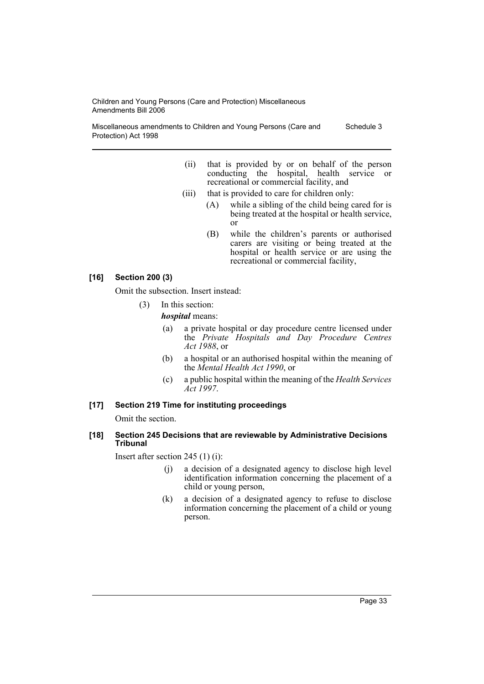Miscellaneous amendments to Children and Young Persons (Care and Protection) Act 1998 Schedule 3

- (ii) that is provided by or on behalf of the person conducting the hospital, health service or recreational or commercial facility, and
- (iii) that is provided to care for children only:
	- (A) while a sibling of the child being cared for is being treated at the hospital or health service, or
	- (B) while the children's parents or authorised carers are visiting or being treated at the hospital or health service or are using the recreational or commercial facility,

# **[16] Section 200 (3)**

Omit the subsection. Insert instead:

(3) In this section:

*hospital* means:

- (a) a private hospital or day procedure centre licensed under the *Private Hospitals and Day Procedure Centres Act 1988*, or
- (b) a hospital or an authorised hospital within the meaning of the *Mental Health Act 1990*, or
- (c) a public hospital within the meaning of the *Health Services Act 1997*.

# **[17] Section 219 Time for instituting proceedings**

Omit the section.

#### **[18] Section 245 Decisions that are reviewable by Administrative Decisions Tribunal**

Insert after section 245 (1) (i):

- (j) a decision of a designated agency to disclose high level identification information concerning the placement of a child or young person,
- (k) a decision of a designated agency to refuse to disclose information concerning the placement of a child or young person.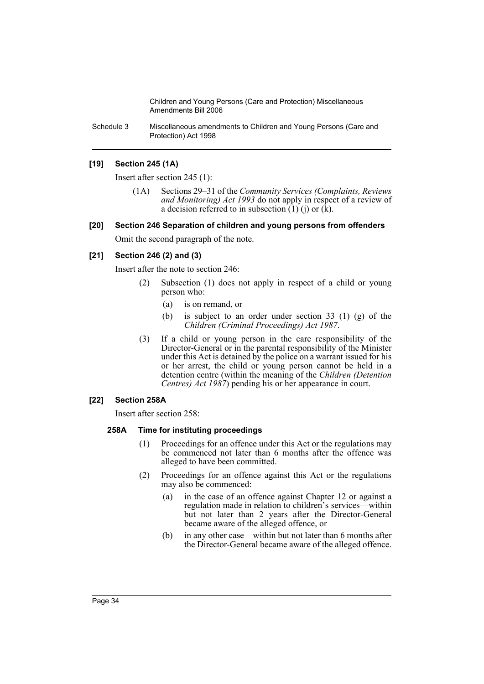Schedule 3 Miscellaneous amendments to Children and Young Persons (Care and Protection) Act 1998

# **[19] Section 245 (1A)**

Insert after section 245 (1):

(1A) Sections 29–31 of the *Community Services (Complaints, Reviews and Monitoring) Act 1993* do not apply in respect of a review of a decision referred to in subsection  $(1)$  (j) or  $(k)$ .

# **[20] Section 246 Separation of children and young persons from offenders**

Omit the second paragraph of the note.

# **[21] Section 246 (2) and (3)**

Insert after the note to section 246:

- (2) Subsection (1) does not apply in respect of a child or young person who:
	- (a) is on remand, or
	- (b) is subject to an order under section 33 (1) (g) of the *Children (Criminal Proceedings) Act 1987*.
- (3) If a child or young person in the care responsibility of the Director-General or in the parental responsibility of the Minister under this Act is detained by the police on a warrant issued for his or her arrest, the child or young person cannot be held in a detention centre (within the meaning of the *Children (Detention Centres) Act 1987*) pending his or her appearance in court.

# **[22] Section 258A**

Insert after section 258:

# **258A Time for instituting proceedings**

- (1) Proceedings for an offence under this Act or the regulations may be commenced not later than 6 months after the offence was alleged to have been committed.
- (2) Proceedings for an offence against this Act or the regulations may also be commenced:
	- (a) in the case of an offence against Chapter 12 or against a regulation made in relation to children's services—within but not later than 2 years after the Director-General became aware of the alleged offence, or
	- (b) in any other case—within but not later than 6 months after the Director-General became aware of the alleged offence.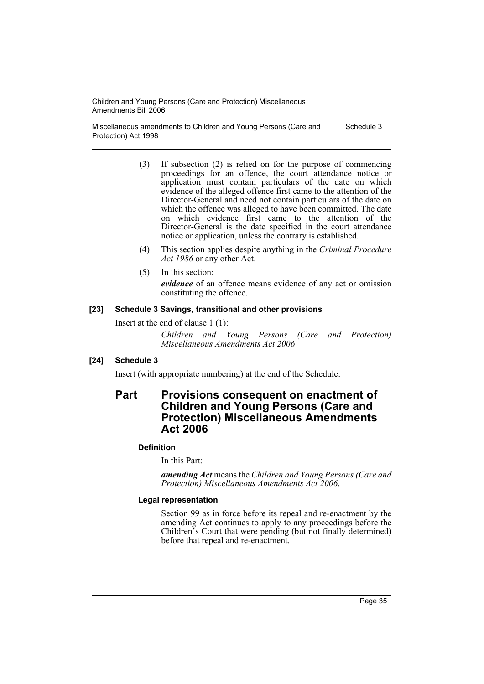Miscellaneous amendments to Children and Young Persons (Care and Protection) Act 1998 Schedule 3

- (3) If subsection (2) is relied on for the purpose of commencing proceedings for an offence, the court attendance notice or application must contain particulars of the date on which evidence of the alleged offence first came to the attention of the Director-General and need not contain particulars of the date on which the offence was alleged to have been committed. The date on which evidence first came to the attention of the Director-General is the date specified in the court attendance notice or application, unless the contrary is established.
- (4) This section applies despite anything in the *Criminal Procedure Act 1986* or any other Act.
- (5) In this section: *evidence* of an offence means evidence of any act or omission constituting the offence.

#### **[23] Schedule 3 Savings, transitional and other provisions**

Insert at the end of clause 1 (1):

*Children and Young Persons (Care and Protection) Miscellaneous Amendments Act 2006*

# **[24] Schedule 3**

Insert (with appropriate numbering) at the end of the Schedule:

# **Part Provisions consequent on enactment of Children and Young Persons (Care and Protection) Miscellaneous Amendments Act 2006**

# **Definition**

In this Part:

*amending Act* means the *Children and Young Persons (Care and Protection) Miscellaneous Amendments Act 2006*.

# **Legal representation**

Section 99 as in force before its repeal and re-enactment by the amending Act continues to apply to any proceedings before the Children's Court that were pending (but not finally determined) before that repeal and re-enactment.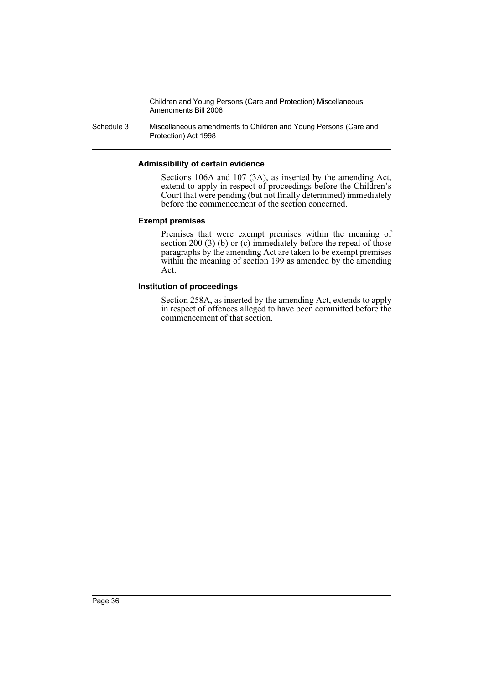Schedule 3 Miscellaneous amendments to Children and Young Persons (Care and Protection) Act 1998

#### **Admissibility of certain evidence**

Sections 106A and 107 (3A), as inserted by the amending Act, extend to apply in respect of proceedings before the Children's Court that were pending (but not finally determined) immediately before the commencement of the section concerned.

#### **Exempt premises**

Premises that were exempt premises within the meaning of section 200 (3) (b) or (c) immediately before the repeal of those paragraphs by the amending Act are taken to be exempt premises within the meaning of section 199 as amended by the amending Act.

#### **Institution of proceedings**

Section 258A, as inserted by the amending Act, extends to apply in respect of offences alleged to have been committed before the commencement of that section.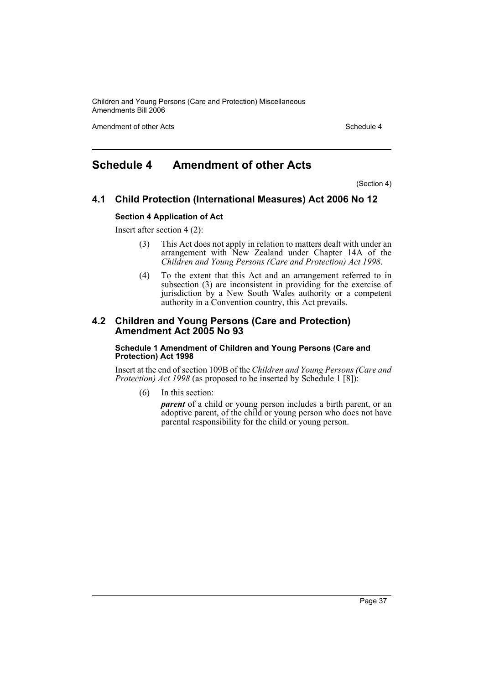Amendment of other Acts **Schedule 4** and the Acts Schedule 4 and the Schedule 4 and the Schedule 4

# **Schedule 4 Amendment of other Acts**

(Section 4)

# **4.1 Child Protection (International Measures) Act 2006 No 12**

#### **Section 4 Application of Act**

Insert after section 4 (2):

- (3) This Act does not apply in relation to matters dealt with under an arrangement with New Zealand under Chapter 14A of the *Children and Young Persons (Care and Protection) Act 1998*.
- (4) To the extent that this Act and an arrangement referred to in subsection (3) are inconsistent in providing for the exercise of jurisdiction by a New South Wales authority or a competent authority in a Convention country, this Act prevails.

# **4.2 Children and Young Persons (Care and Protection) Amendment Act 2005 No 93**

#### **Schedule 1 Amendment of Children and Young Persons (Care and Protection) Act 1998**

Insert at the end of section 109B of the *Children and Young Persons (Care and Protection) Act 1998* (as proposed to be inserted by Schedule 1 [8]):

(6) In this section:

*parent* of a child or young person includes a birth parent, or an adoptive parent, of the child or young person who does not have parental responsibility for the child or young person.